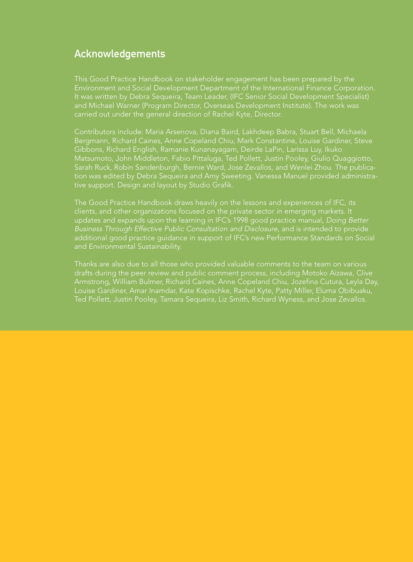## Acknowledgements

This Good Practice Handbook on stakeholder engagement has been prepared by the Environment and Social Development Department of the International Finance Corporation. and Michael Warner (Program Director, Overseas Development Institute). The work was carried out under the general direction of Rachel Kyte, Director.

Contributors include: Maria Arsenova, Diana Baird, Lakhdeep Babra, Stuart Bell, Michaela Bergmann, Richard Caines, Anne Copeland Chiu, Mark Constantine, Louise Gardiner, Steve Matsumoto, John Middleton, Fabio Pittaluga, Ted Pollett, Justin Pooley, Giulio Quaggiotto, tive support. Design and layout by Studio Grafik.

The Good Practice Handbook draws heavily on the lessons and experiences of IFC, its clients, and other organizations focused on the private sector in emerging markets. It Business Through Effective Public Consultation and Disclosure, and is intended to provide additional good practice guidance in support of IFC's new Performance Standards on Social and Environmental Sustainability.

Thanks are also due to all those who provided valuable comments to the team on various drafts during the peer review and public comment process, including Motoko Aizawa, Clive Armstrong, William Bulmer, Richard Caines, Anne Copeland Chiu, Jozefina Cutura, Leyla Day, Louise Gardiner, Amar Inamdar, Kate Kopischke, Rachel Kyte, Patty Miller, Eluma Obibuaku,